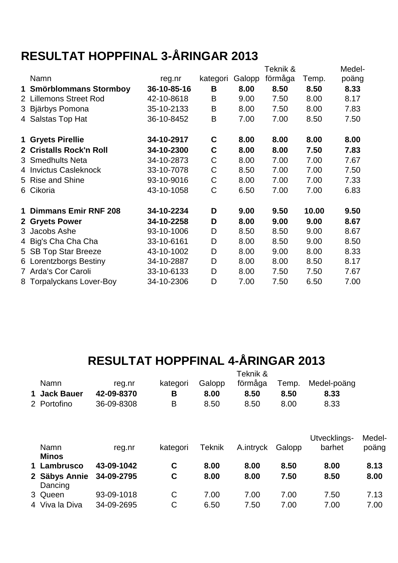# **RESULTAT HOPPFINAL 3-ÅRINGAR 2013**

|   |                             |             |             |        | Teknik & |       | Medel- |
|---|-----------------------------|-------------|-------------|--------|----------|-------|--------|
|   | Namn                        | reg.nr      | kategori    | Galopp | förmåga  | Temp. | poäng  |
|   | 1 Smörblommans Stormboy     | 36-10-85-16 | B           | 8.00   | 8.50     | 8.50  | 8.33   |
|   | 2 Lillemons Street Rod      | 42-10-8618  | B           | 9.00   | 7.50     | 8.00  | 8.17   |
|   | 3 Bjärbys Pomona            | 35-10-2133  | B           | 8.00   | 7.50     | 8.00  | 7.83   |
|   | 4 Salstas Top Hat           | 36-10-8452  | B           | 7.00   | 7.00     | 8.50  | 7.50   |
|   | 1 Gryets Pirellie           | 34-10-2917  | C           | 8.00   | 8.00     | 8.00  | 8.00   |
|   | 2 Cristalls Rock'n Roll     | 34-10-2300  | C           | 8.00   | 8.00     | 7.50  | 7.83   |
|   | 3 Smedhults Neta            | 34-10-2873  | $\mathsf C$ | 8.00   | 7.00     | 7.00  | 7.67   |
|   | 4 Invictus Casleknock       | 33-10-7078  | $\mathsf C$ | 8.50   | 7.00     | 7.00  | 7.50   |
|   | 5 Rise and Shine            | 93-10-9016  | $\mathsf C$ | 8.00   | 7.00     | 7.00  | 7.33   |
|   | 6 Cikoria                   | 43-10-1058  | $\mathsf C$ | 6.50   | 7.00     | 7.00  | 6.83   |
| 1 | <b>Dimmans Emir RNF 208</b> | 34-10-2234  | D           | 9.00   | 9.50     | 10.00 | 9.50   |
|   | 2 Gryets Power              | 34-10-2258  | D           | 8.00   | 9.00     | 9.00  | 8.67   |
|   | 3 Jacobs Ashe               | 93-10-1006  | D           | 8.50   | 8.50     | 9.00  | 8.67   |
|   | 4 Big's Cha Cha Cha         | 33-10-6161  | D           | 8.00   | 8.50     | 9.00  | 8.50   |
|   | 5 SB Top Star Breeze        | 43-10-1002  | D           | 8.00   | 9.00     | 8.00  | 8.33   |
|   | 6 Lorentzborgs Bestiny      | 34-10-2887  | D           | 8.00   | 8.00     | 8.50  | 8.17   |
|   | 7 Arda's Cor Caroli         | 33-10-6133  | D           | 8.00   | 7.50     | 7.50  | 7.67   |
|   | 8 Torpalyckans Lover-Boy    | 34-10-2306  | D           | 7.00   | 7.50     | 6.50  | 7.00   |

#### **RESULTAT HOPPFINAL 4-ÅRINGAR 2013** Teknik &

| Namn<br>1 Jack Bauer     | reg.nr<br>42-09-8370 | kategori<br>В | Galopp<br>8.00 | eknik &<br>förmåga<br>8.50 | Temp.<br>8.50 | Medel-poäng<br>8.33    |                 |
|--------------------------|----------------------|---------------|----------------|----------------------------|---------------|------------------------|-----------------|
| 2 Portofino              | 36-09-8308           | B             | 8.50           | 8.50                       | 8.00          | 8.33                   |                 |
| Namn<br><b>Minos</b>     | reg.nr               | kategori      | Teknik         | A.intryck                  | Galopp        | Utvecklings-<br>barhet | Medel-<br>poäng |
| 1 Lambrusco              | 43-09-1042           | C             | 8.00           | 8.00                       | 8.50          | 8.00                   | 8.13            |
| 2 Säbys Annie<br>Dancing | 34-09-2795           | C             | 8.00           | 8.00                       | 7.50          | 8.50                   | 8.00            |
| 3 Queen                  | 93-09-1018           | $\mathsf{C}$  | 7.00           | 7.00                       | 7.00          | 7.50                   | 7.13            |
| 4 Viva la Diva           | 34-09-2695           | С             | 6.50           | 7.50                       | 7.00          | 7.00                   | 7.00            |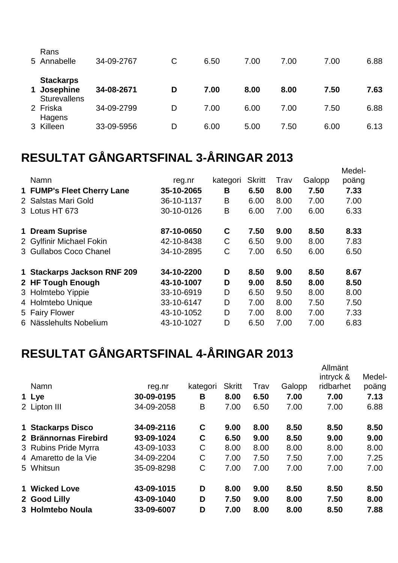| Rans<br>5 Annabelle                                    | 34-09-2767 | C | 6.50 | 7.00 | 7.00 | 7.00 | 6.88 |
|--------------------------------------------------------|------------|---|------|------|------|------|------|
| <b>Stackarps</b><br>1 Josephine<br><b>Sturevallens</b> | 34-08-2671 | D | 7.00 | 8.00 | 8.00 | 7.50 | 7.63 |
| 2 Friska<br>Hagens                                     | 34-09-2799 | D | 7.00 | 6.00 | 7.00 | 7.50 | 6.88 |
| 3 Killeen                                              | 33-09-5956 | D | 6.00 | 5.00 | 7.50 | 6.00 | 6.13 |

# **RESULTAT GÅNGARTSFINAL 3-ÅRINGAR 2013**

|                             |            |          |               |      |        | Medel- |
|-----------------------------|------------|----------|---------------|------|--------|--------|
| <b>Namn</b>                 | reg.nr     | kategori | <b>Skritt</b> | Trav | Galopp | poäng  |
| 1 FUMP's Fleet Cherry Lane  | 35-10-2065 | В        | 6.50          | 8.00 | 7.50   | 7.33   |
| 2 Salstas Mari Gold         | 36-10-1137 | B        | 6.00          | 8.00 | 7.00   | 7.00   |
| 3 Lotus HT 673              | 30-10-0126 | Β        | 6.00          | 7.00 | 6.00   | 6.33   |
| 1 Dream Suprise             | 87-10-0650 | C        | 7.50          | 9.00 | 8.50   | 8.33   |
| 2 Gylfinir Michael Fokin    | 42-10-8438 | C        | 6.50          | 9.00 | 8.00   | 7.83   |
| 3 Gullabos Coco Chanel      | 34-10-2895 | C        | 7.00          | 6.50 | 6.00   | 6.50   |
| 1 Stackarps Jackson RNF 209 | 34-10-2200 | D        | 8.50          | 9.00 | 8.50   | 8.67   |
| 2 HF Tough Enough           | 43-10-1007 | D        | 9.00          | 8.50 | 8.00   | 8.50   |
| 3 Holmtebo Yippie           | 33-10-6919 | D        | 6.50          | 9.50 | 8.00   | 8.00   |
| 4 Holmtebo Unique           | 33-10-6147 | D        | 7.00          | 8.00 | 7.50   | 7.50   |
| 5 Fairy Flower              | 43-10-1052 | D        | 7.00          | 8.00 | 7.00   | 7.33   |
| 6 Nässlehults Nobelium      | 43-10-1027 | D        | 6.50          | 7.00 | 7.00   | 6.83   |
|                             |            |          |               |      |        |        |

# **RESULTAT GÅNGARTSFINAL 4-ÅRINGAR 2013**

|                       |            |          |               |      |        | Allmänt   |        |
|-----------------------|------------|----------|---------------|------|--------|-----------|--------|
|                       |            |          |               |      |        | intryck & | Medel- |
| Namn                  | reg.nr     | kategori | <b>Skritt</b> | Trav | Galopp | ridbarhet | poäng  |
| 1 Lye                 | 30-09-0195 | B        | 8.00          | 6.50 | 7.00   | 7.00      | 7.13   |
| 2 Lipton III          | 34-09-2058 | B        | 7.00          | 6.50 | 7.00   | 7.00      | 6.88   |
| 1 Stackarps Disco     | 34-09-2116 | C        | 9.00          | 8.00 | 8.50   | 8.50      | 8.50   |
| 2 Brännornas Firebird | 93-09-1024 | C        | 6.50          | 9.00 | 8.50   | 9.00      | 9.00   |
| 3 Rubins Pride Myrra  | 43-09-1033 | C        | 8.00          | 8.00 | 8.00   | 8.00      | 8.00   |
| 4 Amaretto de la Vie  | 34-09-2204 | C        | 7.00          | 7.50 | 7.50   | 7.00      | 7.25   |
| 5 Whitsun             | 35-09-8298 | C        | 7.00          | 7.00 | 7.00   | 7.00      | 7.00   |
| 1 Wicked Love         | 43-09-1015 | D        | 8.00          | 9.00 | 8.50   | 8.50      | 8.50   |
| 2 Good Lilly          | 43-09-1040 | D        | 7.50          | 9.00 | 8.00   | 7.50      | 8.00   |
| 3 Holmtebo Noula      | 33-09-6007 | D        | 7.00          | 8.00 | 8.00   | 8.50      | 7.88   |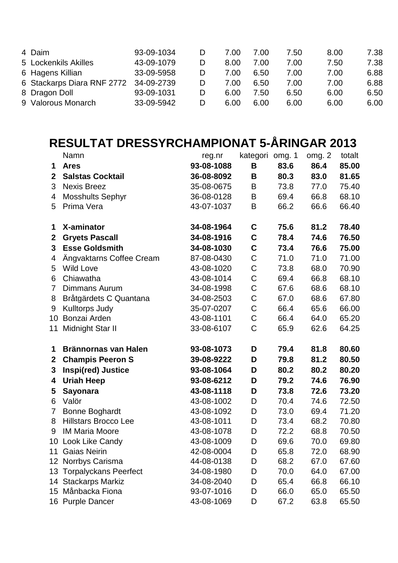| 4 Daim                     | 93-09-1034 |   | 7.00 | 7.00 | 7.50 | 8.00 | 7.38 |
|----------------------------|------------|---|------|------|------|------|------|
| 5 Lockenkils Akilles       | 43-09-1079 | D | 8.00 | 7.00 | 7.00 | 7.50 | 7.38 |
| 6 Hagens Killian           | 33-09-5958 | D | 7.00 | 6.50 | 7.00 | 7.00 | 6.88 |
| 6 Stackarps Diara RNF 2772 | 34-09-2739 |   | 7.00 | 6.50 | 7.00 | 7.00 | 6.88 |
| 8 Dragon Doll              | 93-09-1031 | D | 6.00 | 7.50 | 6.50 | 6.00 | 6.50 |
| 9 Valorous Monarch         | 33-09-5942 |   | 6.00 | 6.00 | 6.00 | 6.00 | 6.00 |

## **RESULTAT DRESSYRCHAMPIONAT 5-ÅRINGAR 2013**

|                | Namn                         | reg.nr     | kategori    | omg. 1 | omg. 2 | totalt |
|----------------|------------------------------|------------|-------------|--------|--------|--------|
| 1              | <b>Ares</b>                  | 93-08-1088 | В           | 83.6   | 86.4   | 85.00  |
| $\mathbf 2$    | <b>Salstas Cocktail</b>      | 36-08-8092 | В           | 80.3   | 83.0   | 81.65  |
| 3              | <b>Nexis Breez</b>           | 35-08-0675 | B           | 73.8   | 77.0   | 75.40  |
| 4              | <b>Mosshults Sephyr</b>      | 36-08-0128 | B           | 69.4   | 66.8   | 68.10  |
| 5              | Prima Vera                   | 43-07-1037 | B           | 66.2   | 66.6   | 66.40  |
| 1              | X-aminator                   | 34-08-1964 | C           | 75.6   | 81.2   | 78.40  |
| $\mathbf 2$    | <b>Gryets Pascall</b>        | 34-08-1916 | C           | 78.4   | 74.6   | 76.50  |
| 3              | <b>Esse Goldsmith</b>        | 34-08-1030 | C           | 73.4   | 76.6   | 75.00  |
| 4              | Ängvaktarns Coffee Cream     | 87-08-0430 | C           | 71.0   | 71.0   | 71.00  |
| 5              | <b>Wild Love</b>             | 43-08-1020 | $\mathsf C$ | 73.8   | 68.0   | 70.90  |
| 6              | Chiawatha                    | 43-08-1014 | $\mathsf C$ | 69.4   | 66.8   | 68.10  |
| $\overline{7}$ | Dimmans Aurum                | 34-08-1998 | $\mathsf C$ | 67.6   | 68.6   | 68.10  |
| 8              | Bråtgärdets C Quantana       | 34-08-2503 | C           | 67.0   | 68.6   | 67.80  |
| 9              | <b>Kulltorps Judy</b>        | 35-07-0207 | $\mathsf C$ | 66.4   | 65.6   | 66.00  |
| 10             | Bonzai Arden                 | 43-08-1101 | $\mathsf C$ | 66.4   | 64.0   | 65.20  |
| 11             | Midnight Star II             | 33-08-6107 | $\mathsf C$ | 65.9   | 62.6   | 64.25  |
| 1              | Brännornas van Halen         | 93-08-1073 | D           | 79.4   | 81.8   | 80.60  |
| $\mathbf 2$    | <b>Champis Peeron S</b>      | 39-08-9222 | D           | 79.8   | 81.2   | 80.50  |
| 3              | Inspi(red) Justice           | 93-08-1064 | D           | 80.2   | 80.2   | 80.20  |
| 4              | <b>Uriah Heep</b>            | 93-08-6212 | D           | 79.2   | 74.6   | 76.90  |
| 5              | Sayonara                     | 43-08-1118 | D           | 73.8   | 72.6   | 73.20  |
| 6              | Valör                        | 43-08-1002 | D           | 70.4   | 74.6   | 72.50  |
| 7              | <b>Bonne Boghardt</b>        | 43-08-1092 | D           | 73.0   | 69.4   | 71.20  |
| 8              | <b>Hillstars Brocco Lee</b>  | 43-08-1011 | D           | 73.4   | 68.2   | 70.80  |
| 9              | <b>IM Maria Moore</b>        | 43-08-1078 | D           | 72.2   | 68.8   | 70.50  |
|                | 10 Look Like Candy           | 43-08-1009 | D           | 69.6   | 70.0   | 69.80  |
|                | Gaias Neirin                 | 42-08-0004 | D           | 65.8   | 72.0   | 68.90  |
| 12             | Norrbys Carisma              | 44-08-0138 | D           | 68.2   | 67.0   | 67.60  |
| 13             | <b>Torpalyckans Peerfect</b> | 34-08-1980 | D           | 70.0   | 64.0   | 67.00  |
| 14             | <b>Stackarps Markiz</b>      | 34-08-2040 | D           | 65.4   | 66.8   | 66.10  |
| 15             | Månbacka Fiona               | 93-07-1016 | D           | 66.0   | 65.0   | 65.50  |
|                | 16 Purple Dancer             | 43-08-1069 | D           | 67.2   | 63.8   | 65.50  |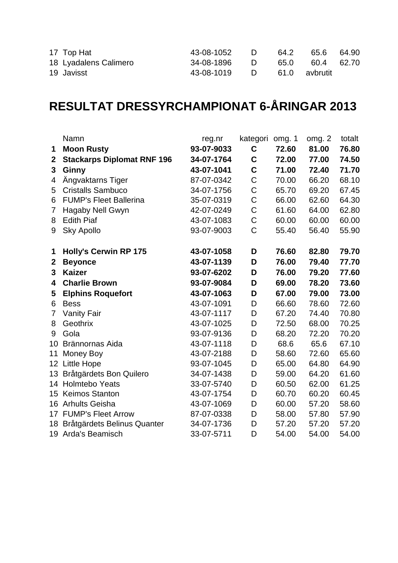| 17 Top Hat            | 43-08-1052 |                                                | 64.2 | 65.6          | 64.90 |
|-----------------------|------------|------------------------------------------------|------|---------------|-------|
| 18 Lyadalens Calimero | 34-08-1896 | - D                                            | 65.0 | 60.4 62.70    |       |
| 19 Javisst            | 43-08-1019 | $\mathbf{D}$ and $\mathbf{D}$ and $\mathbf{D}$ |      | 61.0 avbrutit |       |

# **RESULTAT DRESSYRCHAMPIONAT 6-ÅRINGAR 2013**

|             | Namn                              | reg.nr     | kategori    | omg. 1 | omg. 2 | totalt |
|-------------|-----------------------------------|------------|-------------|--------|--------|--------|
| 1           | <b>Moon Rusty</b>                 | 93-07-9033 | C           | 72.60  | 81.00  | 76.80  |
| $\mathbf 2$ | <b>Stackarps Diplomat RNF 196</b> | 34-07-1764 | $\mathbf C$ | 72.00  | 77.00  | 74.50  |
| 3           | <b>Ginny</b>                      | 43-07-1041 | $\mathbf C$ | 71.00  | 72.40  | 71.70  |
| 4           | Ängvaktarns Tiger                 | 87-07-0342 | $\mathsf C$ | 70.00  | 66.20  | 68.10  |
| 5           | <b>Cristalls Sambuco</b>          | 34-07-1756 | $\mathsf C$ | 65.70  | 69.20  | 67.45  |
| 6           | <b>FUMP's Fleet Ballerina</b>     | 35-07-0319 | $\mathsf C$ | 66.00  | 62.60  | 64.30  |
| 7           | Hagaby Nell Gwyn                  | 42-07-0249 | $\mathsf C$ | 61.60  | 64.00  | 62.80  |
| 8           | <b>Edith Piaf</b>                 | 43-07-1083 | $\mathsf C$ | 60.00  | 60.00  | 60.00  |
| 9           | <b>Sky Apollo</b>                 | 93-07-9003 | C           | 55.40  | 56.40  | 55.90  |
| 1           | <b>Holly's Cerwin RP 175</b>      | 43-07-1058 | D           | 76.60  | 82.80  | 79.70  |
| $\mathbf 2$ | <b>Beyonce</b>                    | 43-07-1139 | D           | 76.00  | 79.40  | 77.70  |
| 3           | <b>Kaizer</b>                     | 93-07-6202 | D           | 76.00  | 79.20  | 77.60  |
| 4           | <b>Charlie Brown</b>              | 93-07-9084 | D           | 69.00  | 78.20  | 73.60  |
| 5           | <b>Elphins Roquefort</b>          | 43-07-1063 | D           | 67.00  | 79.00  | 73.00  |
| 6           | <b>Bess</b>                       | 43-07-1091 | D           | 66.60  | 78.60  | 72.60  |
| 7           | <b>Vanity Fair</b>                | 43-07-1117 | D           | 67.20  | 74.40  | 70.80  |
| 8           | Geothrix                          | 43-07-1025 | D           | 72.50  | 68.00  | 70.25  |
| 9           | Gola                              | 93-07-9136 | D           | 68.20  | 72.20  | 70.20  |
| 10          | <b>Brännornas Aida</b>            | 43-07-1118 | D           | 68.6   | 65.6   | 67.10  |
| 11          | Money Boy                         | 43-07-2188 | D           | 58.60  | 72.60  | 65.60  |
|             | 12 Little Hope                    | 93-07-1045 | D           | 65.00  | 64.80  | 64.90  |
|             | 13 Bråtgärdets Bon Quilero        | 34-07-1438 | D           | 59.00  | 64.20  | 61.60  |
|             | 14 Holmtebo Yeats                 | 33-07-5740 | D           | 60.50  | 62.00  | 61.25  |
|             | 15 Keimos Stanton                 | 43-07-1754 | D           | 60.70  | 60.20  | 60.45  |
|             | 16 Arhults Geisha                 | 43-07-1069 | D           | 60.00  | 57.20  | 58.60  |
|             | 17 FUMP's Fleet Arrow             | 87-07-0338 | D           | 58.00  | 57.80  | 57.90  |
|             | 18 Bråtgärdets Belinus Quanter    | 34-07-1736 | D           | 57.20  | 57.20  | 57.20  |
|             | 19 Arda's Beamisch                | 33-07-5711 | D           | 54.00  | 54.00  | 54.00  |